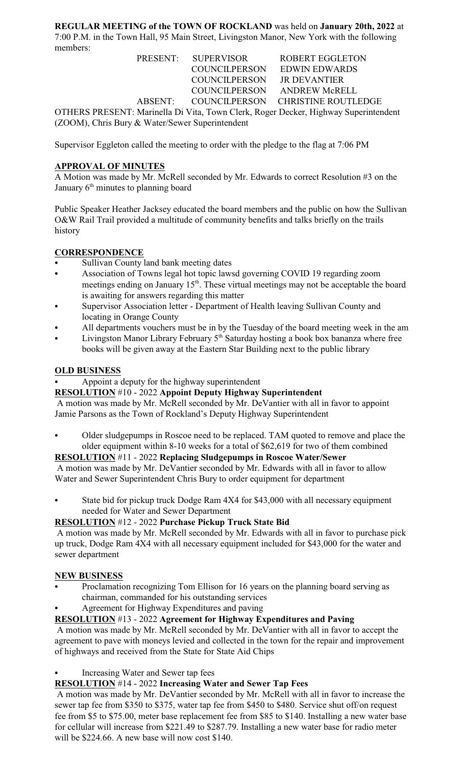**REGULAR MEETING of the TOWN OF ROCKLAND** was held on **January 20th, 2022** at 7:00 P.M. in the Town Hall, 95 Main Street, Livingston Manor, New York with the following members:

|                                                                                     | PRESENT: SUPERVISOR |                      | <b>ROBERT EGGLETON</b>            |  |  |
|-------------------------------------------------------------------------------------|---------------------|----------------------|-----------------------------------|--|--|
|                                                                                     |                     | <b>COUNCILPERSON</b> | <b>EDWIN EDWARDS</b>              |  |  |
|                                                                                     |                     | <b>COUNCILPERSON</b> | <b>JR DEVANTIER</b>               |  |  |
|                                                                                     |                     | COUNCILPERSON        | ANDREW McRELL                     |  |  |
| ABSENT:                                                                             |                     |                      | COUNCILPERSON CHRISTINE ROUTLEDGE |  |  |
| OTHERS PRESENT: Marinella Di Vita, Town Clerk, Roger Decker, Highway Superintendent |                     |                      |                                   |  |  |
| (ZOOM), Chris Bury & Water/Sewer Superintendent                                     |                     |                      |                                   |  |  |

Supervisor Eggleton called the meeting to order with the pledge to the flag at 7:06 PM

# **APPROVAL OF MINUTES**

A Motion was made by Mr. McRell seconded by Mr. Edwards to correct Resolution #3 on the January  $6<sup>th</sup>$  minutes to planning board

Public Speaker Heather Jacksey educated the board members and the public on how the Sullivan O&W Rail Trail provided a multitude of community benefits and talks briefly on the trails history

# **CORRESPONDENCE**

- Sullivan County land bank meeting dates
- Association of Towns legal hot topic lawsd governing COVID 19 regarding zoom meetings ending on January  $15<sup>th</sup>$ . These virtual meetings may not be acceptable the board is awaiting for answers regarding this matter
- Supervisor Association letter Department of Health leaving Sullivan County and locating in Orange County
- All departments vouchers must be in by the Tuesday of the board meeting week in the am
- Livingston Manor Library February 5<sup>th</sup> Saturday hosting a book box bananza where free books will be given away at the Eastern Star Building next to the public library

### **OLD BUSINESS**

### Appoint a deputy for the highway superintendent

### **RESOLUTION** #10 - 2022 **Appoint Deputy Highway Superintendent**

 A motion was made by Mr. McRell seconded by Mr. DeVantier with all in favor to appoint Jamie Parsons as the Town of Rockland's Deputy Highway Superintendent

Older sludgepumps in Roscoe need to be replaced. TAM quoted to remove and place the older equipment within 8-10 weeks for a total of \$62,619 for two of them combined

### **RESOLUTION** #11 - 2022 **Replacing Sludgepumps in Roscoe Water/Sewer**

 A motion was made by Mr. DeVantier seconded by Mr. Edwards with all in favor to allow Water and Sewer Superintendent Chris Bury to order equipment for department

State bid for pickup truck Dodge Ram 4X4 for \$43,000 with all necessary equipment needed for Water and Sewer Department

### **RESOLUTION** #12 - 2022 **Purchase Pickup Truck State Bid**

 A motion was made by Mr. McRell seconded by Mr. Edwards with all in favor to purchase pick up truck, Dodge Ram 4X4 with all necessary equipment included for \$43,000 for the water and sewer department

### **NEW BUSINESS**

- Proclamation recognizing Tom Ellison for 16 years on the planning board serving as chairman, commanded for his outstanding services
- Agreement for Highway Expenditures and paving

### **RESOLUTION** #13 - 2022 **Agreement for Highway Expenditures and Paving**

 A motion was made by Mr. McRell seconded by Mr. DeVantier with all in favor to accept the agreement to pave with moneys levied and collected in the town for the repair and improvement of highways and received from the State for State Aid Chips

# Increasing Water and Sewer tap fees

# **RESOLUTION** #14 - 2022 **Increasing Water and Sewer Tap Fees**

 A motion was made by Mr. DeVantier seconded by Mr. McRell with all in favor to increase the sewer tap fee from \$350 to \$375, water tap fee from \$450 to \$480. Service shut off/on request fee from \$5 to \$75.00, meter base replacement fee from \$85 to \$140. Installing a new water base for cellular will increase from \$221.49 to \$287.79. Installing a new water base for radio meter will be \$224.66. A new base will now cost \$140.